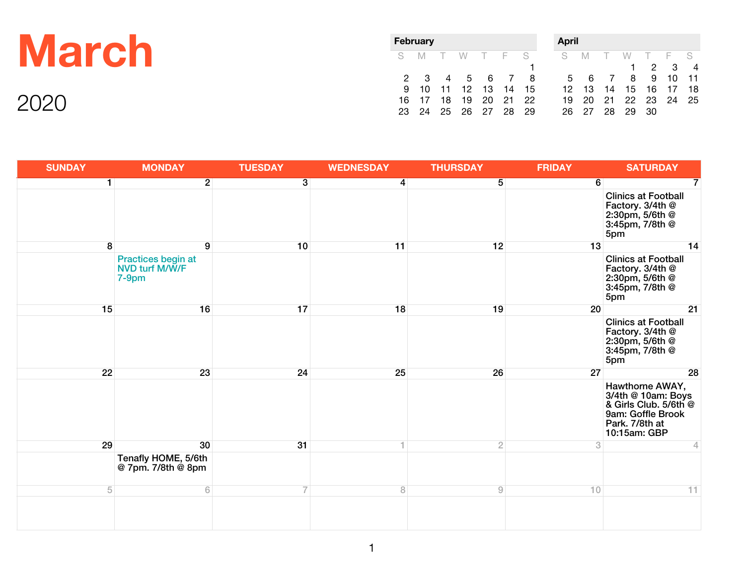|       | February    |             |    |                                          |          |           | <b>April</b>          |   |                                |                |            |                        |              |                      |
|-------|-------------|-------------|----|------------------------------------------|----------|-----------|-----------------------|---|--------------------------------|----------------|------------|------------------------|--------------|----------------------|
| March | S.          | M           |    | W                                        | T F S    |           |                       | S | M                              |                |            |                        | $F-S$<br>2 3 | $\overline{4}$       |
| 2001  | 16<br>23 24 | 9 10<br>-17 | 18 | 2 3 4 5 6 7 8<br>11 12<br>19<br>25 26 27 | 13<br>20 | -21<br>28 | 14 15<br>- 22<br>- 29 |   | 5 6<br>12 13<br>19 20<br>26 27 | 14<br>21<br>28 | 8<br>29 30 | 9<br>15 16<br>22 23 24 | 10           | $-11$<br>-18<br>- 25 |

| <b>SUNDAY</b> | <b>MONDAY</b>                                    | <b>TUESDAY</b> | <b>WEDNESDAY</b> | <b>THURSDAY</b> | <b>FRIDAY</b> | <b>SATURDAY</b>                                                                                                       |
|---------------|--------------------------------------------------|----------------|------------------|-----------------|---------------|-----------------------------------------------------------------------------------------------------------------------|
| 1             | $\overline{2}$                                   | $\overline{3}$ | $\overline{4}$   | $\overline{5}$  | 6             | 7                                                                                                                     |
|               |                                                  |                |                  |                 |               | <b>Clinics at Football</b><br>Factory. 3/4th @<br>2:30pm, 5/6th @<br>3:45pm, 7/8th @<br>5pm                           |
| 8             | 9                                                | 10             | 11               | 12              | 13            | 14                                                                                                                    |
|               | Practices begin at<br>NVD turf M/W/F<br>$7-9$ pm |                |                  |                 |               | <b>Clinics at Football</b><br>Factory. 3/4th @<br>2:30pm, 5/6th @<br>3:45pm, 7/8th @<br>5pm                           |
| 15            | 16                                               | 17             | 18               | 19              | 20            | 21                                                                                                                    |
|               |                                                  |                |                  |                 |               | <b>Clinics at Football</b><br>Factory. 3/4th @<br>2:30pm, 5/6th @<br>3:45pm, 7/8th @<br>5pm                           |
| 22            | 23                                               | 24             | 25               | 26              | 27            | 28                                                                                                                    |
|               |                                                  |                |                  |                 |               | Hawthorne AWAY,<br>3/4th @ 10am: Boys<br>& Girls Club. 5/6th @<br>9am: Goffle Brook<br>Park. 7/8th at<br>10:15am: GBP |
| 29            | 30                                               | 31             | 1                | $\overline{2}$  | 3             | 4                                                                                                                     |
|               | Tenafly HOME, 5/6th<br>@ 7pm. 7/8th @ 8pm        |                |                  |                 |               |                                                                                                                       |
| $\sqrt{5}$    | 6                                                |                | $\rm 8$          | $\overline{9}$  | 10            | 11                                                                                                                    |
|               |                                                  |                |                  |                 |               |                                                                                                                       |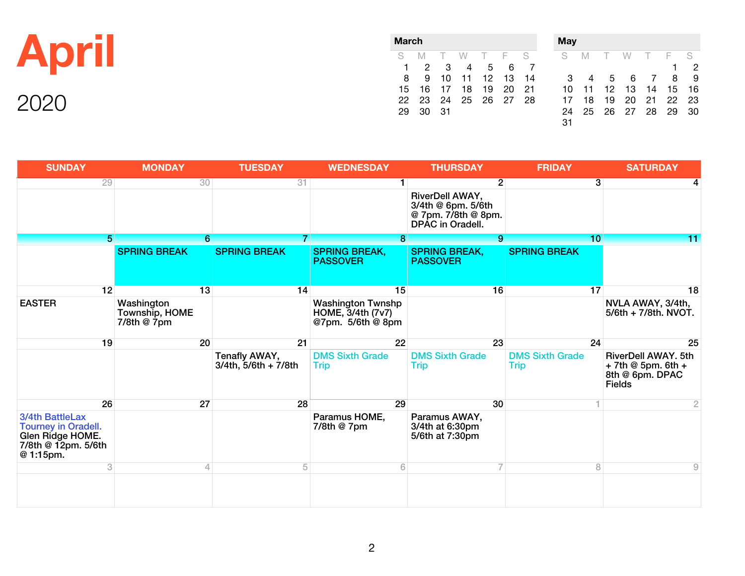|    | <b>March</b> |          |                        |  |         |  |                                                                    | <b>May</b> |     |  |                                                                                         |  |  |                            |  |  |
|----|--------------|----------|------------------------|--|---------|--|--------------------------------------------------------------------|------------|-----|--|-----------------------------------------------------------------------------------------|--|--|----------------------------|--|--|
| AD |              |          | S M T W T F S<br>1 2 3 |  | 4 5 6 7 |  |                                                                    | S M        |     |  | W T F S                                                                                 |  |  | $\overline{\phantom{0}}^2$ |  |  |
|    |              | 29 30 31 |                        |  |         |  | 8 9 10 11 12 13 14<br>15 16 17 18 19 20 21<br>22 23 24 25 26 27 28 | 31         | 3 4 |  | 5 6 7 8 9<br>10 11 12 13 14 15 16<br>17 18 19 20 21 22 23<br>24  25  26  27  28  29  30 |  |  |                            |  |  |

| <b>SUNDAY</b>                                                                                         | <b>MONDAY</b>                               | <b>TUESDAY</b>                             | <b>WEDNESDAY</b>                                                   | <b>THURSDAY</b>                                                                  | <b>FRIDAY</b>                         | <b>SATURDAY</b>                                                                          |
|-------------------------------------------------------------------------------------------------------|---------------------------------------------|--------------------------------------------|--------------------------------------------------------------------|----------------------------------------------------------------------------------|---------------------------------------|------------------------------------------------------------------------------------------|
| 29                                                                                                    |                                             | 31<br>30                                   | $\blacksquare$                                                     | 2 <sup>1</sup>                                                                   | $\overline{3}$                        |                                                                                          |
|                                                                                                       |                                             |                                            |                                                                    | RiverDell AWAY,<br>3/4th @ 6pm. 5/6th<br>@ 7pm. 7/8th @ 8pm.<br>DPAC in Oradell. |                                       |                                                                                          |
| 5.                                                                                                    |                                             | 6<br>7                                     | 8 <sup>1</sup>                                                     | 9                                                                                | 10                                    | 11                                                                                       |
|                                                                                                       | <b>SPRING BREAK</b>                         | <b>SPRING BREAK</b>                        | <b>SPRING BREAK,</b><br><b>PASSOVER</b>                            | <b>SPRING BREAK,</b><br><b>PASSOVER</b>                                          | <b>SPRING BREAK</b>                   |                                                                                          |
| 12                                                                                                    |                                             | 13<br>14                                   | 15                                                                 | 16                                                                               | 17                                    | 18                                                                                       |
| <b>EASTER</b>                                                                                         | Washington<br>Township, HOME<br>7/8th @ 7pm |                                            | <b>Washington Twnshp</b><br>HOME, 3/4th (7v7)<br>@7pm. 5/6th @ 8pm |                                                                                  |                                       | NVLA AWAY, 3/4th,<br>5/6th + 7/8th. NVOT.                                                |
| 19                                                                                                    |                                             | 20<br>21                                   | 22                                                                 | 23                                                                               | 24                                    | 25                                                                                       |
|                                                                                                       |                                             | Tenafly AWAY,<br>$3/4th$ , $5/6th + 7/8th$ | <b>DMS Sixth Grade</b><br><b>Trip</b>                              | <b>DMS Sixth Grade</b><br><b>Trip</b>                                            | <b>DMS Sixth Grade</b><br><b>Trip</b> | <b>RiverDell AWAY, 5th</b><br>$+$ 7th @ 5pm. 6th $+$<br>8th @ 6pm. DPAC<br><b>Fields</b> |
| 26                                                                                                    |                                             | 27<br>28                                   | 29                                                                 | 30                                                                               |                                       | $\overline{2}$                                                                           |
| 3/4th BattleLax<br><b>Tourney in Oradell.</b><br>Glen Ridge HOME.<br>7/8th @ 12pm. 5/6th<br>@ 1:15pm. |                                             |                                            | Paramus HOME,<br>7/8th @ 7pm                                       | Paramus AWAY,<br>3/4th at 6:30pm<br>5/6th at 7:30pm                              |                                       |                                                                                          |
| 3                                                                                                     |                                             | 5<br>4                                     | 6                                                                  |                                                                                  | 8                                     | 9                                                                                        |
|                                                                                                       |                                             |                                            |                                                                    |                                                                                  |                                       |                                                                                          |